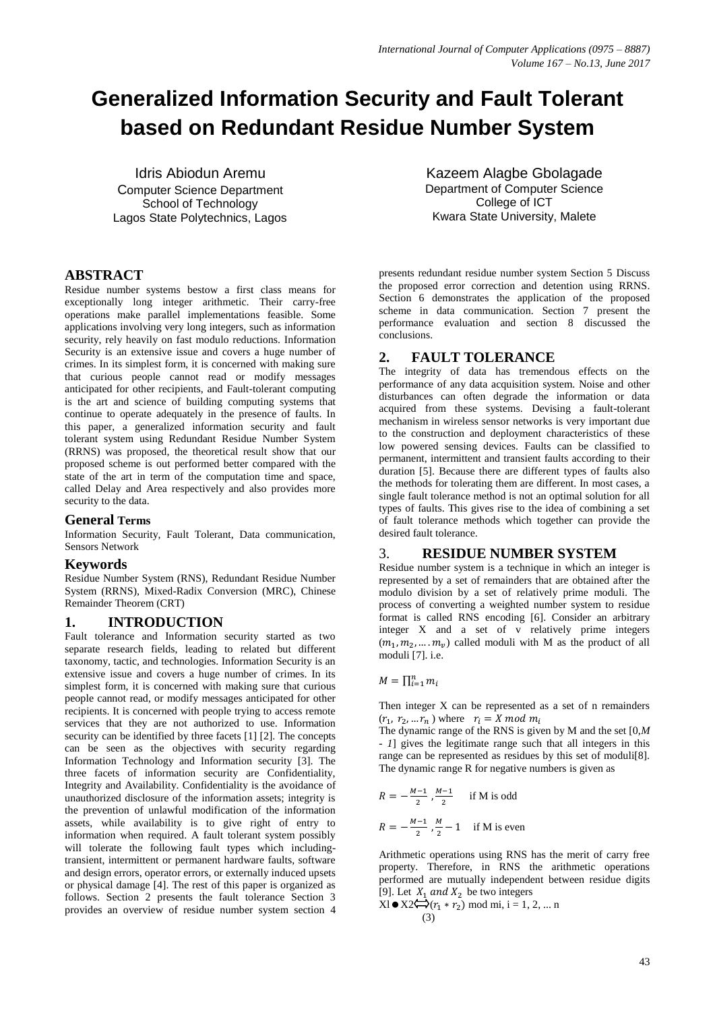# **Generalized Information Security and Fault Tolerant based on Redundant Residue Number System**

Idris Abiodun Aremu Computer Science Department School of Technology Lagos State Polytechnics, Lagos

# **ABSTRACT**

Residue number systems bestow a first class means for exceptionally long integer arithmetic. Their carry-free operations make parallel implementations feasible. Some applications involving very long integers, such as information security, rely heavily on fast modulo reductions. Information Security is an extensive issue and covers a huge number of crimes. In its simplest form, it is concerned with making sure that curious people cannot read or modify messages anticipated for other recipients, and Fault-tolerant computing is the art and science of building computing systems that continue to operate adequately in the presence of faults. In this paper, a generalized information security and fault tolerant system using Redundant Residue Number System (RRNS) was proposed, the theoretical result show that our proposed scheme is out performed better compared with the state of the art in term of the computation time and space, called Delay and Area respectively and also provides more security to the data.

## **General Terms**

Information Security, Fault Tolerant, Data communication, Sensors Network

#### **Keywords**

Residue Number System (RNS), Redundant Residue Number System (RRNS), Mixed-Radix Conversion (MRC), Chinese Remainder Theorem (CRT)

## **1. INTRODUCTION**

Fault tolerance and Information security started as two separate research fields, leading to related but different taxonomy, tactic, and technologies. Information Security is an extensive issue and covers a huge number of crimes. In its simplest form, it is concerned with making sure that curious people cannot read, or modify messages anticipated for other recipients. It is concerned with people trying to access remote services that they are not authorized to use. Information security can be identified by three facets [1] [2]. The concepts can be seen as the objectives with security regarding Information Technology and Information security [3]. The three facets of information security are Confidentiality, Integrity and Availability. Confidentiality is the avoidance of unauthorized disclosure of the information assets; integrity is the prevention of unlawful modification of the information assets, while availability is to give right of entry to information when required. A fault tolerant system possibly will tolerate the following fault types which includingtransient, intermittent or permanent hardware faults, software and design errors, operator errors, or externally induced upsets or physical damage [4]. The rest of this paper is organized as follows. Section 2 presents the fault tolerance Section 3 provides an overview of residue number system section 4

Kazeem Alagbe Gbolagade Department of Computer Science College of ICT Kwara State University, Malete

presents redundant residue number system Section 5 Discuss the proposed error correction and detention using RRNS. Section 6 demonstrates the application of the proposed scheme in data communication. Section 7 present the performance evaluation and section 8 discussed the conclusions.

## **2. FAULT TOLERANCE**

The integrity of data has tremendous effects on the performance of any data acquisition system. Noise and other disturbances can often degrade the information or data acquired from these systems. Devising a fault-tolerant mechanism in wireless sensor networks is very important due to the construction and deployment characteristics of these low powered sensing devices. Faults can be classified to permanent, intermittent and transient faults according to their duration [5]. Because there are different types of faults also the methods for tolerating them are different. In most cases, a single fault tolerance method is not an optimal solution for all types of faults. This gives rise to the idea of combining a set of fault tolerance methods which together can provide the desired fault tolerance.

## 3. **RESIDUE NUMBER SYSTEM**

Residue number system is a technique in which an integer is represented by a set of remainders that are obtained after the modulo division by a set of relatively prime moduli. The process of converting a weighted number system to residue format is called RNS encoding [6]. Consider an arbitrary integer X and a set of v relatively prime integers  $(m_1, m_2, \dots, m_v)$  called moduli with M as the product of all moduli [7]. i.e.

$$
M=\prod_{i=1}^n m_i
$$

Then integer X can be represented as a set of n remainders  $(r_1, r_2, \dots r_n)$  where  $r_i = X \mod m_i$ 

The dynamic range of the RNS is given by M and the set [0,*M - 1*] gives the legitimate range such that all integers in this range can be represented as residues by this set of moduli[8]. The dynamic range R for negative numbers is given as

$$
R = -\frac{M-1}{2}, \frac{M-1}{2} \quad \text{if M is odd}
$$
  

$$
R = -\frac{M-1}{2}, \frac{M}{2} - 1 \quad \text{if M is even}
$$

Arithmetic operations using RNS has the merit of carry free property. Therefore, in RNS the arithmetic operations performed are mutually independent between residue digits [9]. Let  $X_1$  and  $X_2$  be two integers

$$
X1 \bullet X2 \leftrightarrow (r_1 * r_2) \text{ mod mi, } i = 1, 2, \dots n
$$
  
(3)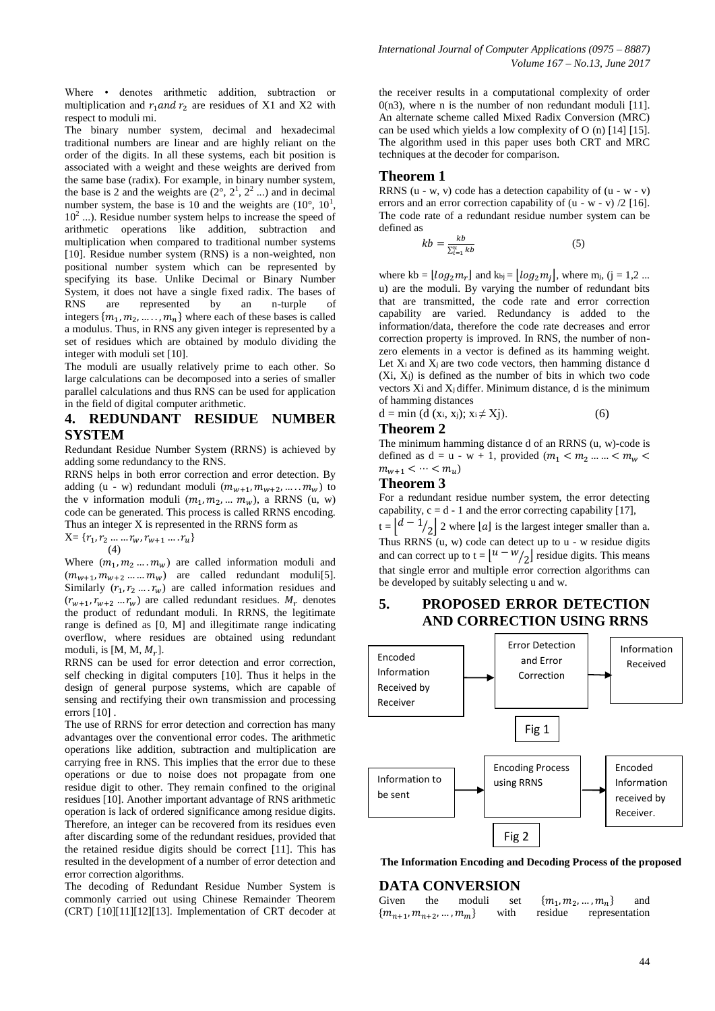Where • denotes arithmetic addition, subtraction or multiplication and  $r_1$  and  $r_2$  are residues of X1 and X2 with respect to moduli mi.

The binary number system, decimal and hexadecimal traditional numbers are linear and are highly reliant on the order of the digits. In all these systems, each bit position is associated with a weight and these weights are derived from the same base (radix). For example, in binary number system, the base is 2 and the weights are  $(2^{\circ}, 2^1, 2^2 ...)$  and in decimal number system, the base is 10 and the weights are  $(10^{\circ}, 10^{1},$ 10<sup>2</sup> ...). Residue number system helps to increase the speed of arithmetic operations like addition, subtraction and multiplication when compared to traditional number systems [10]. Residue number system (RNS) is a non-weighted, non positional number system which can be represented by specifying its base. Unlike Decimal or Binary Number System, it does not have a single fixed radix. The bases of RNS are represented by an n-turple of integers  $\{m_1, m_2, \dots, m_n\}$  where each of these bases is called a modulus. Thus, in RNS any given integer is represented by a set of residues which are obtained by modulo dividing the integer with moduli set [10].

The moduli are usually relatively prime to each other. So large calculations can be decomposed into a series of smaller parallel calculations and thus RNS can be used for application in the field of digital computer arithmetic.

# **4. REDUNDANT RESIDUE NUMBER SYSTEM**

Redundant Residue Number System (RRNS) is achieved by adding some redundancy to the RNS.

RRNS helps in both error correction and error detection. By adding (u - w) redundant moduli  $(m_{w+1}, m_{w+2}, \ldots, m_w)$  to the v information moduli  $(m_1, m_2, ... m_w)$ , a RRNS (u, w) code can be generated. This process is called RRNS encoding. Thus an integer X is represented in the RRNS form as

 $X = \{r_1, r_2, \ldots, r_w, r_{w+1}, \ldots, r_u\}$ (4)

Where  $(m_1, m_2, \ldots, m_w)$  are called information moduli and  $(m_{w+1}, m_{w+2} \dots m_w)$  are called redundant moduli[5]. Similarly  $(r_1, r_2, \ldots, r_w)$  are called information residues and  $(r_{w+1}, r_{w+2} \dots r_w)$  are called redundant residues.  $M_r$  denotes the product of redundant moduli. In RRNS, the legitimate range is defined as [0, M] and illegitimate range indicating overflow, where residues are obtained using redundant moduli, is [M, M,  $M_r$ ].

RRNS can be used for error detection and error correction, self checking in digital computers [10]. Thus it helps in the design of general purpose systems, which are capable of sensing and rectifying their own transmission and processing errors [10] .

The use of RRNS for error detection and correction has many advantages over the conventional error codes. The arithmetic operations like addition, subtraction and multiplication are carrying free in RNS. This implies that the error due to these operations or due to noise does not propagate from one residue digit to other. They remain confined to the original residues [10]. Another important advantage of RNS arithmetic operation is lack of ordered significance among residue digits. Therefore, an integer can be recovered from its residues even after discarding some of the redundant residues, provided that the retained residue digits should be correct [11]. This has resulted in the development of a number of error detection and error correction algorithms.

The decoding of Redundant Residue Number System is commonly carried out using Chinese Remainder Theorem (CRT) [10][11][12][13]. Implementation of CRT decoder at the receiver results in a computational complexity of order  $0(n3)$ , where n is the number of non redundant moduli [11]. An alternate scheme called Mixed Radix Conversion (MRC) can be used which yields a low complexity of O (n) [14] [15]. The algorithm used in this paper uses both CRT and MRC techniques at the decoder for comparison.

### **Theorem 1**

RRNS  $(u - w, v)$  code has a detection capability of  $(u - w - v)$ errors and an error correction capability of  $(u - w - v)/2$  [16]. The code rate of a redundant residue number system can be defined as

$$
kb = \frac{kb}{\sum_{i=1}^{u} kb} \tag{5}
$$

where kb =  $\lfloor log_2 m_r \rfloor$  and kbj =  $\lfloor log_2 m_i \rfloor$ , where mj, (j = 1,2 ... u) are the moduli. By varying the number of redundant bits that are transmitted, the code rate and error correction capability are varied. Redundancy is added to the information/data, therefore the code rate decreases and error correction property is improved. In RNS, the number of nonzero elements in a vector is defined as its hamming weight. Let  $X_i$  and  $X_j$  are two code vectors, then hamming distance d  $(X_i, X_i)$  is defined as the number of bits in which two code vectors Xi and Xj differ. Minimum distance, d is the minimum of hamming distances

 $d = min (d (x<sub>i</sub>, x<sub>j</sub>); x<sub>i</sub> \neq X<sub>j</sub>).$  (6)

# **Theorem 2**

The minimum hamming distance d of an RRNS (u, w)-code is defined as  $d = u - w + 1$ , provided  $(m_1 < m_2 ... ... < m_w <$  $m_{w+1} < \cdots < m_u$ )

#### **Theorem 3**

For a redundant residue number system, the error detecting capability,  $c = d - 1$  and the error correcting capability [17],

 $t = \left[ \frac{d-1}{2} \right] 2$  where  $\lfloor a \rfloor$  is the largest integer smaller than a. Thus RRNS (u, w) code can detect up to u - w residue digits and can correct up to  $t = \lfloor u - w / 2 \rfloor$  residue digits. This means that single error and multiple error correction algorithms can be developed by suitably selecting u and w.

# **5. PROPOSED ERROR DETECTION AND CORRECTION USING RRNS**



 **The Information Encoding and Decoding Process of the proposed**

#### **DATA CONVERSION**

| Given                       | the | moduli | set  | $\{m_1, m_2, , m_n\}$  |  | and |
|-----------------------------|-----|--------|------|------------------------|--|-----|
| ${m_{n+1}, m_{n+2}, , m_m}$ |     |        | with | residue representation |  |     |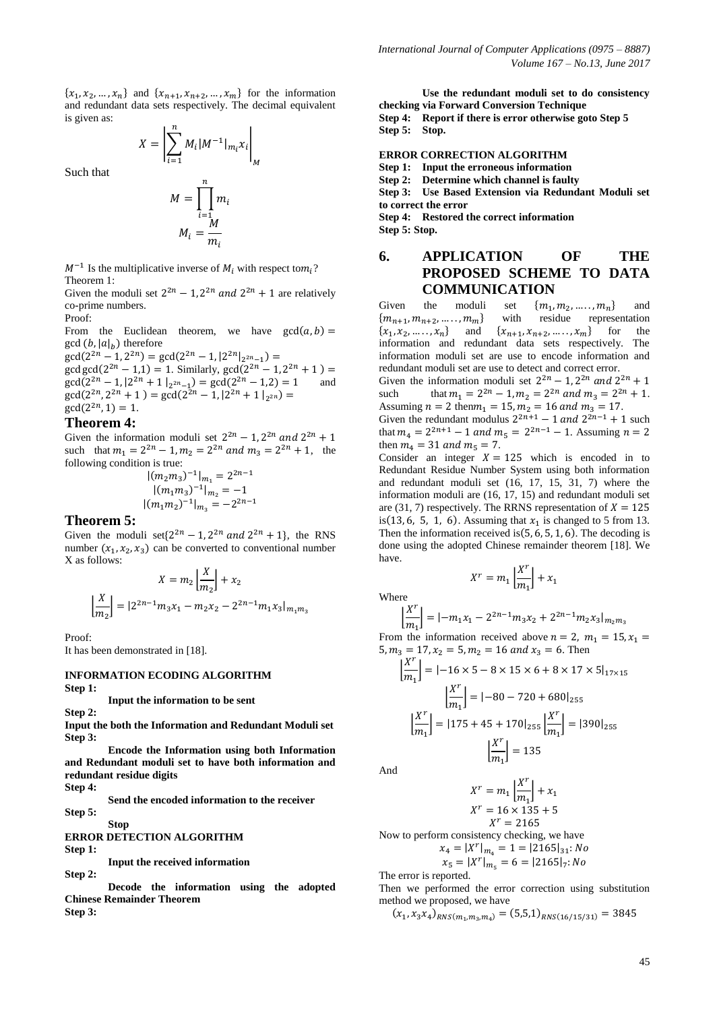${x_1, x_2, ..., x_n}$  and  ${x_{n+1}, x_{n+2}, ..., x_m}$  for the information and redundant data sets respectively. The decimal equivalent is given as:

$$
X = \left| \sum_{i=1}^{n} M_i |M^{-1}|_{m_i} x_i \right|_M
$$

Such that

$$
M = \prod_{i=1}^{n} m_i
$$

$$
M_i = \frac{M}{m_i}
$$

 $M^{-1}$  Is the multiplicative inverse of  $M_i$  with respect to  $m_i$ ? Theorem 1:

Given the moduli set  $2^{2n} - 1$ ,  $2^{2n}$  and  $2^{2n} + 1$  are relatively co-prime numbers. Proof:

From the Euclidean theorem, we have  $gcd(a, b) =$  $gcd(b, |a|_h)$  therefore

 $gcd(2^{2n} - 1, 2^{2n}) = gcd(2^{2n} - 1, |2^{2n}|_{2^{2n}-1})$  $\gcd(\frac{2^{2n}-1}{1})=1$ . Similarly,  $\gcd(2^{2n}-1, 2^2)$  $gcd(2^{2n} - 1, |2^{2n} + 1|_{2^{2n}-1}) = gcd(2^{2n} - 1, 2) = 1$  and  $gcd(2^{2n}, 2^{2n} + 1) = gcd(2^{2n} - 1, |2^{2n} + 1|_{2^2})$  $gcd(2^{2n}, 1) = 1.$ 

#### **Theorem 4:**

Given the information moduli set  $2^{2n} - 1$ ,  $2^{2n}$  and  $2^2$ such that  $m_1 = 2^{2n} - 1$ ,  $m_2 = 2^{2n}$  and  $m_3 = 2^{2n} + 1$ , the following condition is true:

> $|(m_2m_3)^{-1}|_{m_1} = 2^2$  $|(m_1 m_3)^ |(m_1m_2)^{-1}|_{m_2} = -2^2$

#### **Theorem 5:**

Given the moduli set $\{2^{2n} - 1, 2^{2n} \text{ and } 2^{2n} + 1\}$ , the RNS number  $(x_1, x_2, x_3)$  can be converted to conventional number X as follows:

$$
X = m_2 \left| \frac{X}{m_2} \right| + x_2
$$

$$
\left| \frac{X}{m_2} \right| = |2^{2n-1} m_3 x_1 - m_2 x_2 - 2^{2n-1} m_1 x_3|_{m_1 m_3}
$$

Proof:

It has been demonstrated in [18].

#### **INFORMATION ECODING ALGORITHM Step 1:**

**Input the information to be sent**

**Step 2:**

**Input the both the Information and Redundant Moduli set Step 3:**

**Encode the Information using both Information and Redundant moduli set to have both information and redundant residue digits Step 4:**

**Send the encoded information to the receiver**

**Step 5:**

#### **Stop ERROR DETECTION ALGORITHM**

**Step 1:**

**Input the received information**

**Step 2: Decode the information using the adopted Chinese Remainder Theorem Step 3:**

**Use the redundant moduli set to do consistency checking via Forward Conversion Technique Step 4: Report if there is error otherwise goto Step 5 Step 5: Stop.**

#### **ERROR CORRECTION ALGORITHM**

**Step 1: Input the erroneous information**

**Step 2: Determine which channel is faulty**

**Step 3: Use Based Extension via Redundant Moduli set to correct the error**

**Step 4: Restored the correct information Step 5: Stop.**

# **6. APPLICATION OF THE PROPOSED SCHEME TO DATA COMMUNICATION**

Given the moduli set  ${m_1, m_2, \ldots, m_n}$  and  ${m_{n+1}, m_{n+2}, \ldots, m_m}$  with residue representation  $\{x_1, x_2, \ldots, x_n\}$ and  $\{x_{n+1}, x_{n+2}, \dots, x_m\}$  for the information and redundant data sets respectively. The information moduli set are use to encode information and redundant moduli set are use to detect and correct error.

Given the information moduli set  $2^{2n} - 1$ ,  $2^{2n}$  and  $2^2$ such that  $m_1 = 2^{2n} - 1$ ,  $m_2 = 2^{2n}$  and  $m_3 = 2^{2n} + 1$ . Assuming  $n = 2$  then  $m_1 = 15$ ,  $m_2 = 16$  and  $m_3 = 17$ . Given the redundant modulus  $2^{2n+1} - 1$  and  $2^{2n-1} + 1$  such that  $m_4 = 2^{2n+1} - 1$  and  $m_5 = 2^{2n-1} - 1$ . Assuming then  $m_4 = 31$  and  $m_5 = 7$ .

Consider an integer  $X = 125$  which is encoded in to Redundant Residue Number System using both information and redundant moduli set (16, 17, 15, 31, 7) where the information moduli are (16, 17, 15) and redundant moduli set are (31, 7) respectively. The RRNS representation of  $X = 125$ is  $(13, 6, 5, 1, 6)$ . Assuming that  $x_1$  is changed to 5 from 13. Then the information received is  $(5, 6, 5, 1, 6)$ . The decoding is done using the adopted Chinese remainder theorem [18]. We have.

$$
X^r = m_1 \left[ \frac{X^r}{m_1} \right] + x_1
$$

Where I

$$
\left. \frac{X^r}{m_1} \right| = |-m_1 x_1 - 2^{2n-1} m_3 x_2 + 2^{2n-1} m_2 x_3 |_{m_2 m_3}
$$

From the information received above  $n = 2$ ,  $m_1 = 15$ ,  $x_1 =$ 5,  $m_3 = 17$ ,  $x_2 = 5$ ,  $m_2 = 16$  and  $x_3 = 6$ . Then

$$
\left|\frac{X^r}{m_1}\right| = |-16 \times 5 - 8 \times 15 \times 6 + 8 \times 17 \times 5|_{17 \times 15}
$$

$$
\left|\frac{X^r}{m_1}\right| = |-80 - 720 + 680|_{255}
$$

$$
\left|\frac{X^r}{m_1}\right| = |175 + 45 + 170|_{255} \left|\frac{X^r}{m_1}\right| = |390|_{255}
$$

$$
\left|\frac{X^r}{m_1}\right| = 135
$$

And

$$
Xr = m1 \left| \frac{Xr}{m1} \right| + x1
$$

$$
Xr = 16 \times 135 + 5
$$

$$
Xr = 2165
$$

Now to perform consistency checking, we have  $x_4 = |X^r|$ 

$$
x_5 = |X^r|_{m_5} = 6 = |2165|_7; No
$$

The error is reported.

Then we performed the error correction using substitution method we proposed, we have

 $(x_1, x_3x_4)_{RNS(m_1, m_3, m_4)}$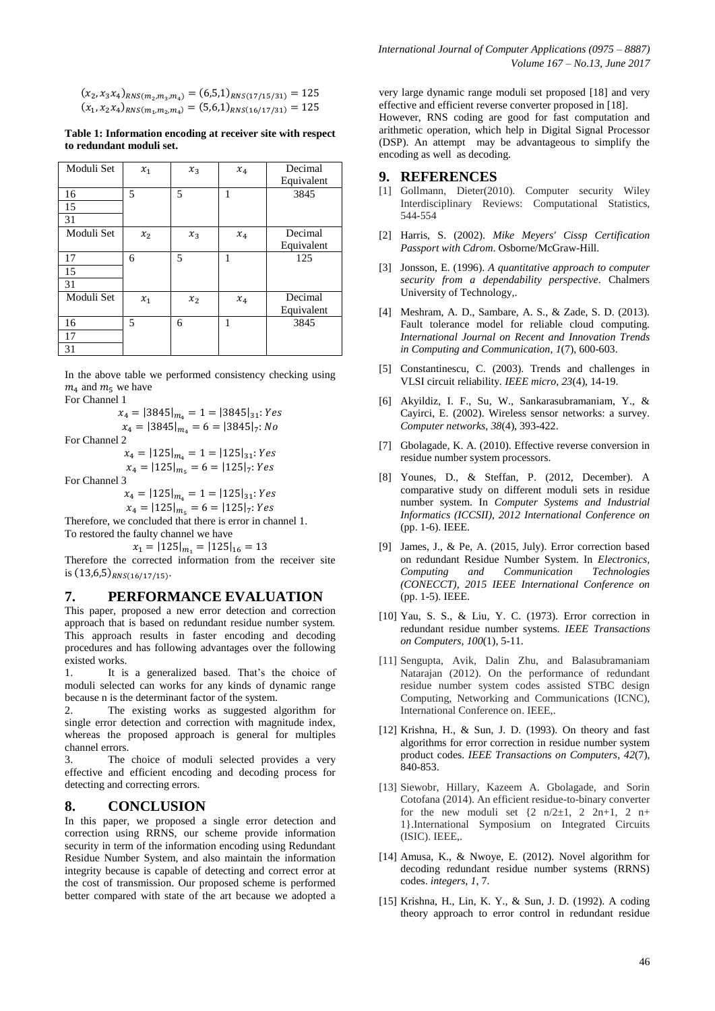$(x_2, x_3x_4)_{RNS(m_2,m_3,m_4)}$  $(x_1, x_2x_4)_{RNS(m_1,m_2,m_4)}$ 

**Table 1: Information encoding at receiver site with respect to redundant moduli set.**

| Moduli Set | $x_1$ | $x_3$          | $x_4$ | Decimal    |  |
|------------|-------|----------------|-------|------------|--|
|            |       |                |       | Equivalent |  |
| 16         | 5     | 5              | 1     | 3845       |  |
| 15         |       |                |       |            |  |
| 31         |       |                |       |            |  |
| Moduli Set | $x_2$ | $x_3$          | $x_4$ | Decimal    |  |
|            |       |                |       | Equivalent |  |
| 17         | 6     | 5              | 1     | 125        |  |
| 15         |       |                |       |            |  |
| 31         |       |                |       |            |  |
| Moduli Set | $x_1$ | x <sub>2</sub> | $x_4$ | Decimal    |  |
|            |       |                |       | Equivalent |  |
| 16         | 5     | 6              | 1     | 3845       |  |
| 17         |       |                |       |            |  |
| 31         |       |                |       |            |  |

In the above table we performed consistency checking using  $m_4$  and  $m_5$  we have

For Channel 1

$$
x_4 = |3845|_{m_4} = 1 = |3845|_{31}
$$
: Yes

$$
x_4 = |3845|_{m_4} = 6 = |3845|_7
$$
: N(

For Channel 2

 $x_4 = |125|_{m_4} = 1 = |125|_{31}$ : Yes  $x_4 = |125|_{m_7} = 6 = |125|_7$ : Yes

For Channel 3

 $x_4 = |125|_{m_4} = 1 = |125|_{31}$ : Yes  $x_4 = |125|_{m_{\epsilon}} = 6 = |125|_7$ : Yes

Therefore, we concluded that there is error in channel 1. To restored the faulty channel we have

 $x_1 = |125|_{m_1} = |125|_{16} = 13$ 

Therefore the corrected information from the receiver site is  $(13,6,5)_{RNS(16/17/15)}$ .

### **7. PERFORMANCE EVALUATION**

This paper, proposed a new error detection and correction approach that is based on redundant residue number system. This approach results in faster encoding and decoding procedures and has following advantages over the following existed works.

1. It is a generalized based. That's the choice of moduli selected can works for any kinds of dynamic range because n is the determinant factor of the system.

2. The existing works as suggested algorithm for single error detection and correction with magnitude index, whereas the proposed approach is general for multiples channel errors.

3. The choice of moduli selected provides a very effective and efficient encoding and decoding process for detecting and correcting errors.

#### **8. CONCLUSION**

In this paper, we proposed a single error detection and correction using RRNS, our scheme provide information security in term of the information encoding using Redundant Residue Number System, and also maintain the information integrity because is capable of detecting and correct error at the cost of transmission. Our proposed scheme is performed better compared with state of the art because we adopted a

very large dynamic range moduli set proposed [18] and very effective and efficient reverse converter proposed in [18].

However, RNS coding are good for fast computation and arithmetic operation, which help in Digital Signal Processor (DSP). An attempt may be advantageous to simplify the encoding as well as decoding.

#### **9. REFERENCES**

- [1] Gollmann, Dieter(2010). Computer security Wiley Interdisciplinary Reviews: Computational Statistics, 544-554
- [2] Harris, S. (2002). *Mike Meyers' Cissp Certification Passport with Cdrom*. Osborne/McGraw-Hill.
- [3] Jonsson, E. (1996). *A quantitative approach to computer security from a dependability perspective*. Chalmers University of Technology,.
- [4] Meshram, A. D., Sambare, A. S., & Zade, S. D. (2013). Fault tolerance model for reliable cloud computing. *International Journal on Recent and Innovation Trends in Computing and Communication*, *1*(7), 600-603.
- [5] Constantinescu, C. (2003). Trends and challenges in VLSI circuit reliability. *IEEE micro*, *23*(4), 14-19.
- [6] Akyildiz, I. F., Su, W., Sankarasubramaniam, Y., & Cayirci, E. (2002). Wireless sensor networks: a survey. *Computer networks*, *38*(4), 393-422.
- [7] Gbolagade, K. A. (2010). Effective reverse conversion in residue number system processors.
- [8] Younes, D., & Steffan, P. (2012, December). A comparative study on different moduli sets in residue number system. In *Computer Systems and Industrial Informatics (ICCSII), 2012 International Conference on* (pp. 1-6). IEEE.
- [9] James, J., & Pe, A. (2015, July). Error correction based on redundant Residue Number System. In *Electronics, Computing and Communication Technologies (CONECCT), 2015 IEEE International Conference on* (pp. 1-5). IEEE.
- [10] Yau, S. S., & Liu, Y. C. (1973). Error correction in redundant residue number systems. *IEEE Transactions on Computers*, *100*(1), 5-11.
- [11] Sengupta, Avik, Dalin Zhu, and Balasubramaniam Natarajan (2012). On the performance of redundant residue number system codes assisted STBC design Computing, Networking and Communications (ICNC), International Conference on. IEEE,.
- [12] Krishna, H., & Sun, J. D. (1993). On theory and fast algorithms for error correction in residue number system product codes. *IEEE Transactions on Computers*, *42*(7), 840-853.
- [13] Siewobr, Hillary, Kazeem A. Gbolagade, and Sorin Cotofana (2014). An efficient residue-to-binary converter for the new moduli set  $\{2 \text{ n}/2 \pm 1, 2 \text{ n}+1, 2 \text{ n}+\}$ 1}.International Symposium on Integrated Circuits (ISIC). IEEE,.
- [14] Amusa, K., & Nwoye, E. (2012). Novel algorithm for decoding redundant residue number systems (RRNS) codes. *integers*, *1*, 7.
- [15] Krishna, H., Lin, K. Y., & Sun, J. D. (1992). A coding theory approach to error control in redundant residue